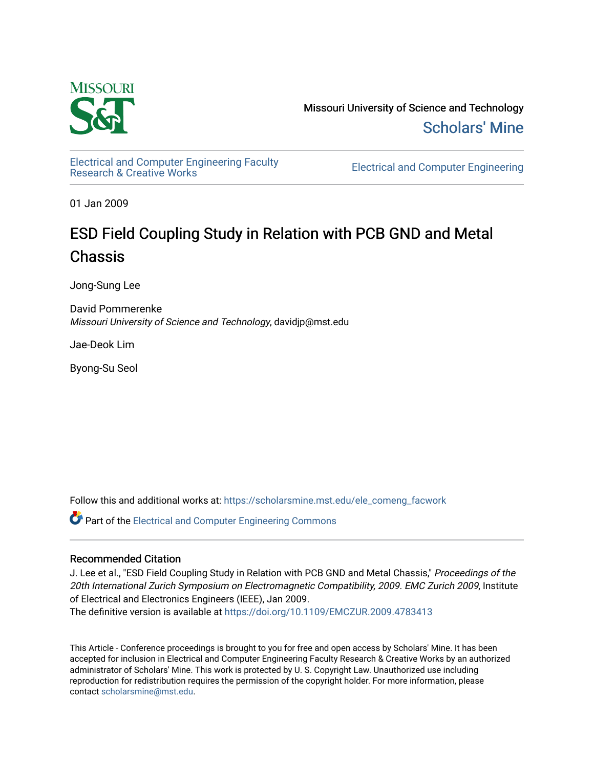

Missouri University of Science and Technology [Scholars' Mine](https://scholarsmine.mst.edu/) 

[Electrical and Computer Engineering Faculty](https://scholarsmine.mst.edu/ele_comeng_facwork)

**Electrical and Computer Engineering** 

01 Jan 2009

# ESD Field Coupling Study in Relation with PCB GND and Metal Chassis

Jong-Sung Lee

David Pommerenke Missouri University of Science and Technology, davidjp@mst.edu

Jae-Deok Lim

Byong-Su Seol

Follow this and additional works at: [https://scholarsmine.mst.edu/ele\\_comeng\\_facwork](https://scholarsmine.mst.edu/ele_comeng_facwork?utm_source=scholarsmine.mst.edu%2Fele_comeng_facwork%2F709&utm_medium=PDF&utm_campaign=PDFCoverPages)

**C** Part of the Electrical and Computer Engineering Commons

# Recommended Citation

J. Lee et al., "ESD Field Coupling Study in Relation with PCB GND and Metal Chassis," Proceedings of the 20th International Zurich Symposium on Electromagnetic Compatibility, 2009. EMC Zurich 2009, Institute of Electrical and Electronics Engineers (IEEE), Jan 2009.

The definitive version is available at <https://doi.org/10.1109/EMCZUR.2009.4783413>

This Article - Conference proceedings is brought to you for free and open access by Scholars' Mine. It has been accepted for inclusion in Electrical and Computer Engineering Faculty Research & Creative Works by an authorized administrator of Scholars' Mine. This work is protected by U. S. Copyright Law. Unauthorized use including reproduction for redistribution requires the permission of the copyright holder. For more information, please contact [scholarsmine@mst.edu](mailto:scholarsmine@mst.edu).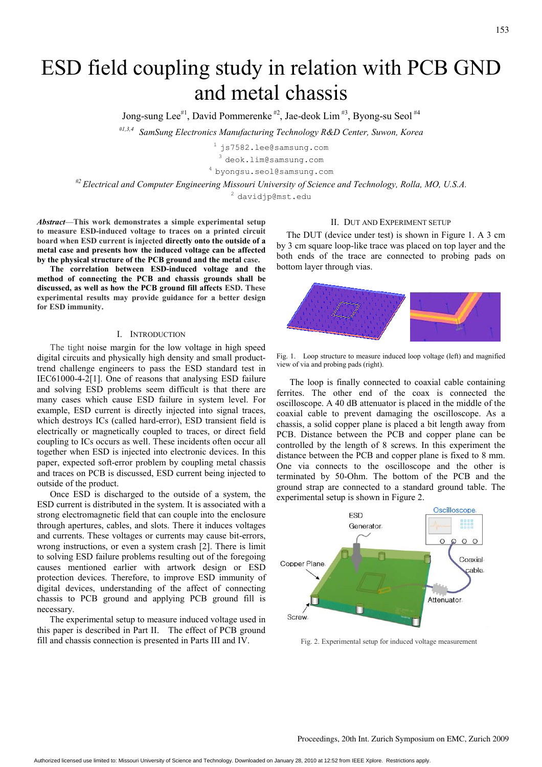# ESD field coupling study in relation with PCB GND and metal chassis

Jong-sung Lee<sup>#1</sup>, David Pommerenke<sup>#2</sup>, Jae-deok Lim<sup>#3</sup>, Byong-su Seol<sup>#4</sup>

#1,3,4 SamSung Electronics Manufacturing Technology R&D Center, Suwon, Korea

<sup>1</sup> js7582.lee@samsung.com <sup>3</sup>deok.lim@samsung.com

<sup>4</sup>byongsu.seol@samsung.com

 $^{42}$  Electrical and Computer Engineering Missouri University of Science and Technology, Rolla, MO, U.S.A.

 $2$  davidjp@mst.edu

Abstract—This work demonstrates a simple experimental setup to measure ESD-induced voltage to traces on a printed circuit board when ESD current is injected directly onto the outside of a metal case and presents how the induced voltage can be affected by the physical structure of the PCB ground and the metal case.

The correlation between ESD-induced voltage and the method of connecting the PCB and chassis grounds shall be discussed, as well as how the PCB ground fill affects ESD. These experimental results may provide guidance for a better design for ESD immunity.

#### I. INTRODUCTION

The tight noise margin for the low voltage in high speed digital circuits and physically high density and small producttrend challenge engineers to pass the ESD standard test in IEC61000-4-2[1]. One of reasons that analysing ESD failure and solving ESD problems seem difficult is that there are many cases which cause ESD failure in system level. For example, ESD current is directly injected into signal traces, which destroys ICs (called hard-error), ESD transient field is electrically or magnetically coupled to traces, or direct field coupling to ICs occurs as well. These incidents often occur all together when ESD is injected into electronic devices. In this paper, expected soft-error problem by coupling metal chassis and traces on PCB is discussed, ESD current being injected to outside of the product.

Once ESD is discharged to the outside of a system, the ESD current is distributed in the system. It is associated with a strong electromagnetic field that can couple into the enclosure through apertures, cables, and slots. There it induces voltages and currents. These voltages or currents may cause bit-errors, wrong instructions, or even a system crash [2]. There is limit to solving ESD failure problems resulting out of the foregoing causes mentioned earlier with artwork design or ESD protection devices. Therefore, to improve ESD immunity of digital devices, understanding of the affect of connecting chassis to PCB ground and applying PCB ground fill is necessary.

The experimental setup to measure induced voltage used in this paper is described in Part II. The effect of PCB ground fill and chassis connection is presented in Parts III and IV.

#### II. DUT AND EXPERIMENT SETUP

The DUT (device under test) is shown in Figure 1. A 3 cm by 3 cm square loop-like trace was placed on top layer and the both ends of the trace are connected to probing pads on bottom layer through vias.



Fig. 1. Loop structure to measure induced loop voltage (left) and magnified view of via and probing pads (right).

The loop is finally connected to coaxial cable containing ferrites. The other end of the coax is connected the oscilloscope. A 40 dB attenuator is placed in the middle of the coaxial cable to prevent damaging the oscilloscope. As a chassis, a solid copper plane is placed a bit length away from PCB. Distance between the PCB and copper plane can be controlled by the length of 8 screws. In this experiment the distance between the PCB and copper plane is fixed to 8 mm. One via connects to the oscilloscope and the other is terminated by 50-Ohm. The bottom of the PCB and the ground strap are connected to a standard ground table. The experimental setup is shown in Figure 2.



Fig. 2. Experimental setup for induced voltage measurement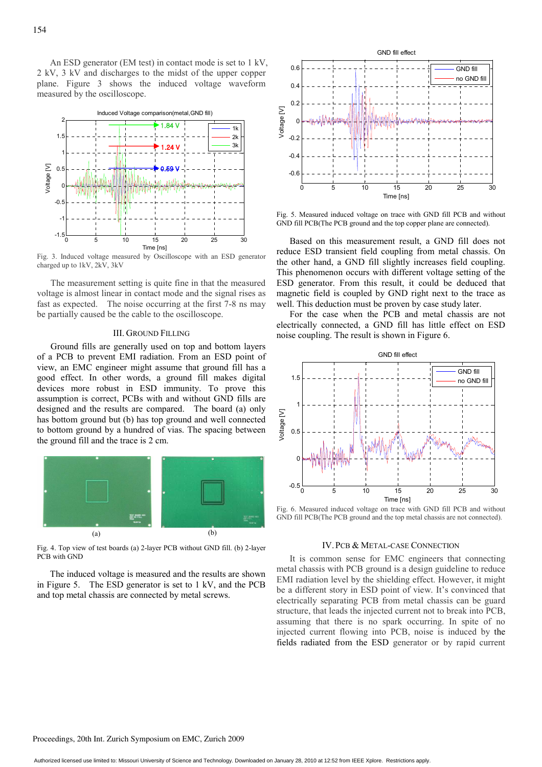An ESD generator (EM test) in contact mode is set to 1 kV, 2 kV, 3 kV and discharges to the midst of the upper copper plane. Figure 3 shows the induced voltage waveform measured by the oscilloscope.



Fig. 3. Induced voltage measured by Oscilloscope with an ESD generator charged up to 1kV, 2kV, 3kV

The measurement setting is quite fine in that the measured voltage is almost linear in contact mode and the signal rises as fast as expected. The noise occurring at the first 7-8 ns may be partially caused be the cable to the oscilloscope.

## III. GROUND FILLING

Ground fills are generally used on top and bottom layers of a PCB to prevent EMI radiation. From an ESD point of view, an EMC engineer might assume that ground fill has a good effect. In other words, a ground fill makes digital devices more robust in ESD immunity. To prove this assumption is correct, PCBs with and without GND fills are designed and the results are compared. The board (a) only has bottom ground but (b) has top ground and well connected to bottom ground by a hundred of vias. The spacing between the ground fill and the trace is 2 cm.



Fig. 4. Top view of test boards (a) 2-layer PCB without GND fill. (b) 2-layer PCB with GND

The induced voltage is measured and the results are shown in Figure 5. The ESD generator is set to 1 kV, and the PCB and top metal chassis are connected by metal screws.



Fig. 5. Measured induced voltage on trace with GND fill PCB and without GND fill PCB(The PCB ground and the top copper plane are connected).

Based on this measurement result, a GND fill does not reduce ESD transient field coupling from metal chassis. On the other hand, a GND fill slightly increases field coupling. This phenomenon occurs with different voltage setting of the ESD generator. From this result, it could be deduced that magnetic field is coupled by GND right next to the trace as well. This deduction must be proven by case study later.

For the case when the PCB and metal chassis are not electrically connected, a GND fill has little effect on ESD noise coupling. The result is shown in Figure 6.



Fig. 6. Measured induced voltage on trace with GND fill PCB and without GND fill PCB(The PCB ground and the top metal chassis are not connected).

#### IV.PCB & METAL-CASE CONNECTION

It is common sense for EMC engineers that connecting metal chassis with PCB ground is a design guideline to reduce EMI radiation level by the shielding effect. However, it might be a different story in ESD point of view. It's convinced that electrically separating PCB from metal chassis can be guard structure, that leads the injected current not to break into PCB, assuming that there is no spark occurring. In spite of no injected current flowing into PCB, noise is induced by the fields radiated from the ESD generator or by rapid current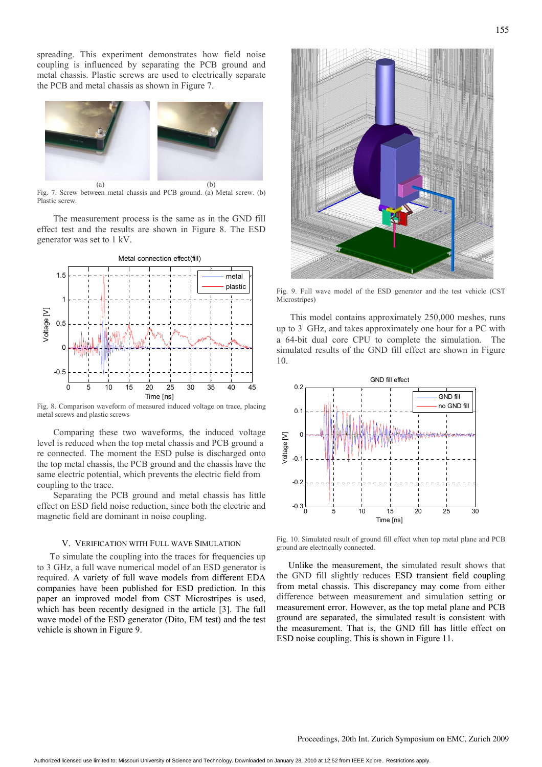spreading. This experiment demonstrates how field noise coupling is influenced by separating the PCB ground and metal chassis. Plastic screws are used to electrically separate the PCB and metal chassis as shown in Figure 7.



Fig. 7. Screw between metal chassis and PCB ground. (a) Metal screw. (b) Plastic screw.

The measurement process is the same as in the GND fill effect test and the results are shown in Figure 8. The ESD generator was set to 1 kV.



Fig. 8. Comparison waveform of measured induced voltage on trace, placing metal screws and plastic screws

Comparing these two waveforms, the induced voltage level is reduced when the top metal chassis and PCB ground a re connected. The moment the ESD pulse is discharged onto the top metal chassis, the PCB ground and the chassis have the same electric potential, which prevents the electric field from coupling to the trace.

Separating the PCB ground and metal chassis has little effect on ESD field noise reduction, since both the electric and magnetic field are dominant in noise coupling.

# V. VERIFICATION WITH FULL WAVE SIMULATION

To simulate the coupling into the traces for frequencies up to 3 GHz, a full wave numerical model of an ESD generator is required. A variety of full wave models from different EDA companies have been published for ESD prediction. In this paper an improved model from CST Microstripes is used, which has been recently designed in the article [3]. The full wave model of the ESD generator (Dito, EM test) and the test vehicle is shown in Figure 9.



Fig. 9. Full wave model of the ESD generator and the test vehicle (CST Microstripes)

This model contains approximately 250,000 meshes, runs up to 3 GHz, and takes approximately one hour for a PC with a 64-bit dual core CPU to complete the simulation. The simulated results of the GND fill effect are shown in Figure 10.



Fig. 10. Simulated result of ground fill effect when top metal plane and PCB ground are electrically connected.

Unlike the measurement, the simulated result shows that the GND fill slightly reduces ESD transient field coupling from metal chassis. This discrepancy may come from either difference between measurement and simulation setting or measurement error. However, as the top metal plane and PCB ground are separated, the simulated result is consistent with the measurement. That is, the GND fill has little effect on ESD noise coupling. This is shown in Figure 11.